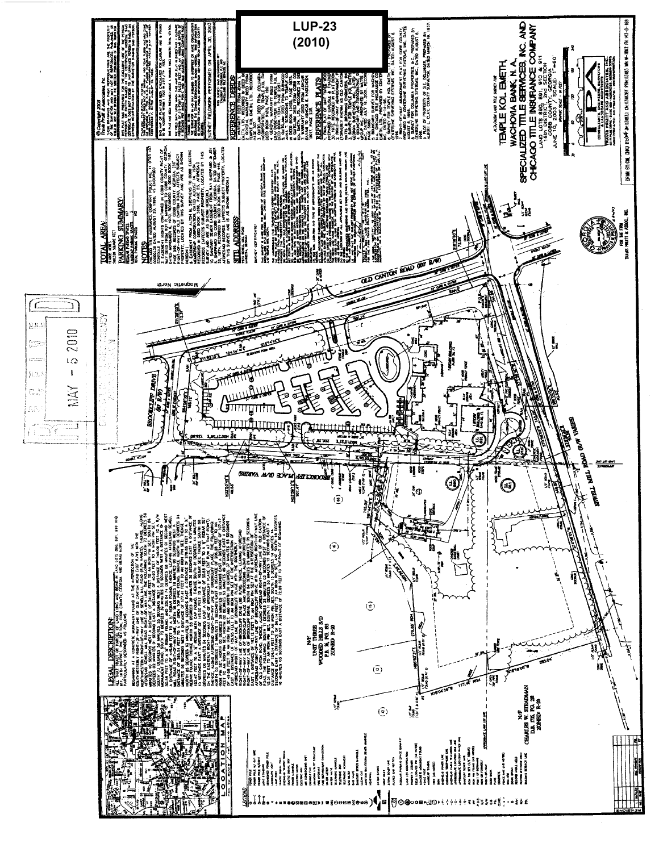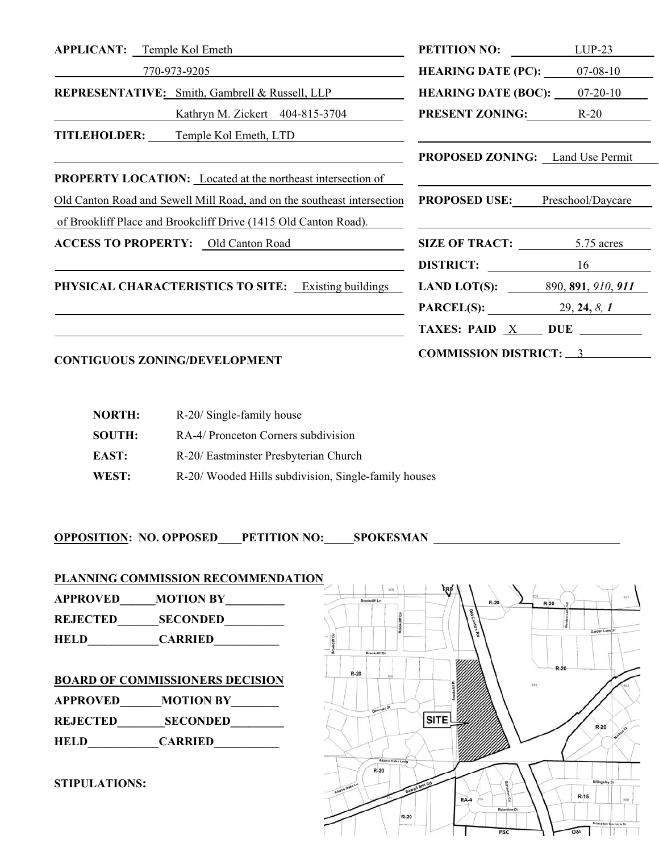| <b>PETITION NO:</b><br>$LUP-23$                                                                                      |  |
|----------------------------------------------------------------------------------------------------------------------|--|
| <b>HEARING DATE (PC):</b> $07-08-10$                                                                                 |  |
| <b>HEARING DATE (BOC):</b> $07-20-10$                                                                                |  |
| <b>PRESENT ZONING:</b> R-20                                                                                          |  |
|                                                                                                                      |  |
| <b>PROPOSED ZONING:</b> Land Use Permit                                                                              |  |
|                                                                                                                      |  |
| Old Canton Road and Sewell Mill Road, and on the southeast intersection<br><b>PROPOSED USE:</b><br>Preschool/Daycare |  |
|                                                                                                                      |  |
| SIZE OF TRACT: 5.75 acres                                                                                            |  |
| <b>DISTRICT:</b> 16                                                                                                  |  |
| LAND LOT(S): $\frac{890,891,910,911}{200,911}$                                                                       |  |
| <b>PARCEL(S):</b> 29, 24, 8, 1                                                                                       |  |
| TAXES: PAID $X$ DUE $\_\_\_\_\_\_$                                                                                   |  |
| <b>COMMISSION DISTRICT: 3</b>                                                                                        |  |
|                                                                                                                      |  |
|                                                                                                                      |  |

| <b>NORTH:</b> | R-20/ Single-family house                           |
|---------------|-----------------------------------------------------|
| <b>SOUTH:</b> | RA-4/ Pronceton Corners subdivision                 |
| EAST:         | R-20/ Eastminster Presbyterian Church               |
| WEST:         | R-20/Wooded Hills subdivision, Single-family houses |

**OPPOSITION: NO. OPPOSED\_\_\_\_PETITION NO:\_\_\_\_\_SPOKESMAN** 

**APPROVED\_\_\_\_\_\_MOTION BY\_\_\_\_\_\_\_\_\_\_ REJECTED\_\_\_\_\_\_\_SECONDED\_\_\_\_\_\_\_\_\_\_ HELD\_\_\_\_\_\_\_\_\_\_\_CARRIED\_\_\_\_\_\_\_\_\_\_\_ BOARD OF COMMISSIONERS DECISION APPROVED\_\_\_\_\_\_\_MOTION BY\_\_\_\_\_\_\_\_ REJECTED\_\_\_\_\_\_\_\_SECONDED\_\_\_\_\_\_\_\_\_ HELD\_\_\_\_\_\_\_\_\_\_\_\_CARRIED\_\_\_\_\_\_\_\_\_\_\_** 

**STIPULATIONS:**

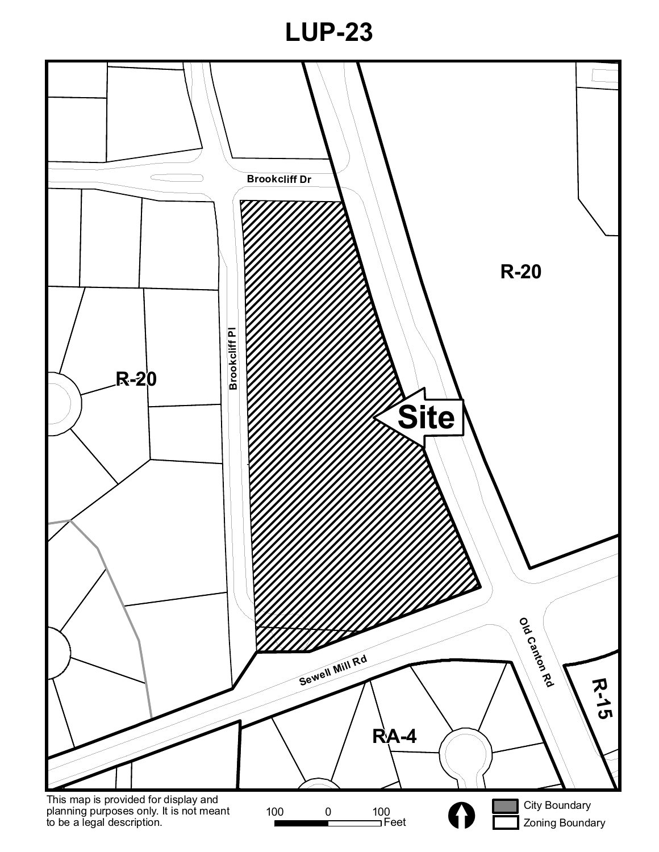# **LUP-23**

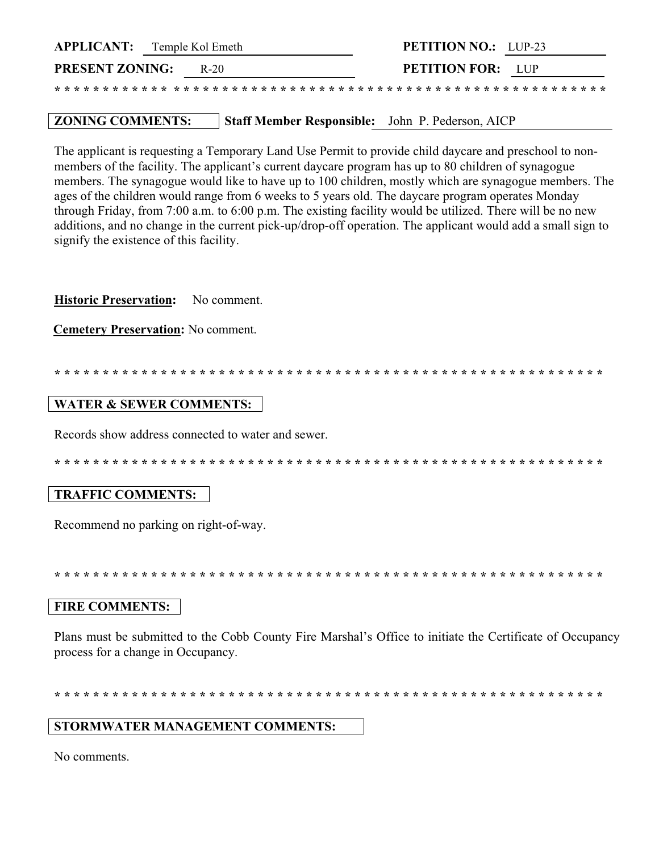| <b>APPLICANT:</b> Temple Kol Emeth |      | <b>PETITION NO.:</b> LUP-23                                                                                                  |  |
|------------------------------------|------|------------------------------------------------------------------------------------------------------------------------------|--|
| <b>PRESENT ZONING:</b>             | R-20 | <b>PETITION FOR:</b> LUP                                                                                                     |  |
|                                    |      | and the dealed and dealed and dealed and dealed and dealed and dealed and dealed and dealed and dealed and dealed and dealed |  |

#### Staff Member Responsible: John P. Pederson, AICP **ZONING COMMENTS:**

The applicant is requesting a Temporary Land Use Permit to provide child daycare and preschool to nonmembers of the facility. The applicant's current daycare program has up to 80 children of synagogue members. The synagogue would like to have up to 100 children, mostly which are synagogue members. The ages of the children would range from 6 weeks to 5 years old. The daycare program operates Monday through Friday, from 7:00 a.m. to 6:00 p.m. The existing facility would be utilized. There will be no new additions, and no change in the current pick-up/drop-off operation. The applicant would add a small sign to signify the existence of this facility.

**Historic Preservation:** No comment.

**Cemetery Preservation: No comment.** 

#### **WATER & SEWER COMMENTS:**

Records show address connected to water and sewer.

# **TRAFFIC COMMENTS:**

Recommend no parking on right-of-way.

#### **FIRE COMMENTS:**

Plans must be submitted to the Cobb County Fire Marshal's Office to initiate the Certificate of Occupancy process for a change in Occupancy.

#### STORMWATER MANAGEMENT COMMENTS:

No comments.